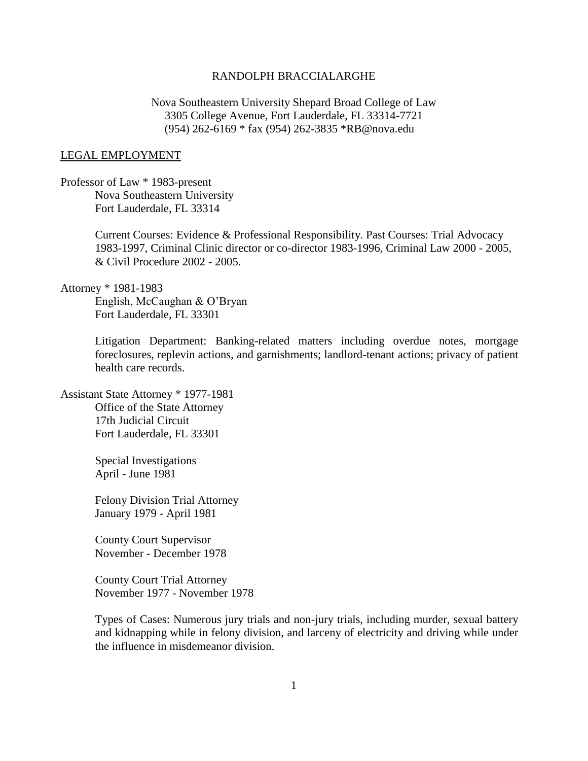# RANDOLPH BRACCIALARGHE

Nova Southeastern University Shepard Broad College of Law 3305 College Avenue, Fort Lauderdale, FL 33314-7721 (954) 262-6169 \* fax (954) 262-3835 \*RB@nova.edu

#### LEGAL EMPLOYMENT

Professor of Law \* 1983-present Nova Southeastern University Fort Lauderdale, FL 33314

> Current Courses: Evidence & Professional Responsibility. Past Courses: Trial Advocacy 1983-1997, Criminal Clinic director or co-director 1983-1996, Criminal Law 2000 - 2005, & Civil Procedure 2002 - 2005.

Attorney \* 1981-1983

English, McCaughan & O'Bryan Fort Lauderdale, FL 33301

Litigation Department: Banking-related matters including overdue notes, mortgage foreclosures, replevin actions, and garnishments; landlord-tenant actions; privacy of patient health care records.

Assistant State Attorney \* 1977-1981 Office of the State Attorney 17th Judicial Circuit Fort Lauderdale, FL 33301

> Special Investigations April - June 1981

Felony Division Trial Attorney January 1979 - April 1981

County Court Supervisor November - December 1978

County Court Trial Attorney November 1977 - November 1978

Types of Cases: Numerous jury trials and non-jury trials, including murder, sexual battery and kidnapping while in felony division, and larceny of electricity and driving while under the influence in misdemeanor division.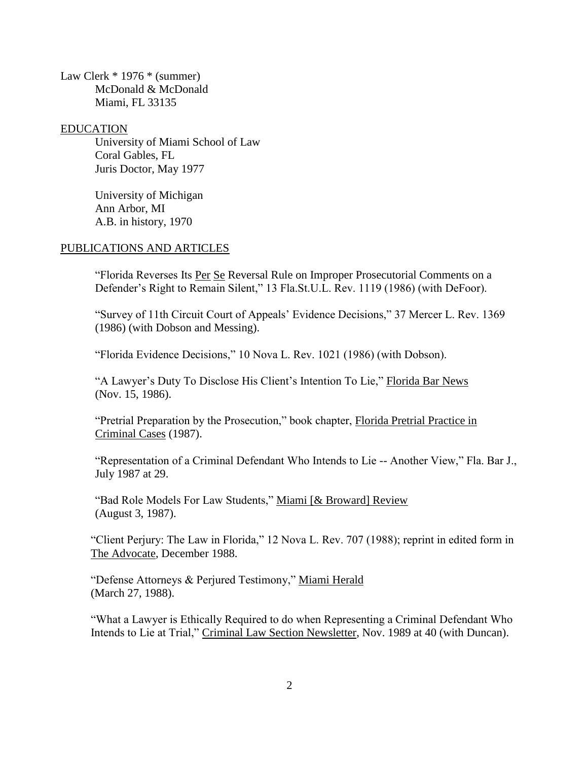Law Clerk \* 1976 \* (summer) McDonald & McDonald Miami, FL 33135

EDUCATION

University of Miami School of Law Coral Gables, FL Juris Doctor, May 1977

University of Michigan Ann Arbor, MI A.B. in history, 1970

## PUBLICATIONS AND ARTICLES

"Florida Reverses Its Per Se Reversal Rule on Improper Prosecutorial Comments on a Defender's Right to Remain Silent," 13 Fla.St.U.L. Rev. 1119 (1986) (with DeFoor).

"Survey of 11th Circuit Court of Appeals' Evidence Decisions," 37 Mercer L. Rev. 1369 (1986) (with Dobson and Messing).

"Florida Evidence Decisions," 10 Nova L. Rev. 1021 (1986) (with Dobson).

"A Lawyer's Duty To Disclose His Client's Intention To Lie," Florida Bar News (Nov. 15, 1986).

"Pretrial Preparation by the Prosecution," book chapter, Florida Pretrial Practice in Criminal Cases (1987).

"Representation of a Criminal Defendant Who Intends to Lie -- Another View," Fla. Bar J., July 1987 at 29.

"Bad Role Models For Law Students," Miami [& Broward] Review (August 3, 1987).

"Client Perjury: The Law in Florida," 12 Nova L. Rev. 707 (1988); reprint in edited form in The Advocate, December 1988.

"Defense Attorneys & Perjured Testimony," Miami Herald (March 27, 1988).

"What a Lawyer is Ethically Required to do when Representing a Criminal Defendant Who Intends to Lie at Trial," Criminal Law Section Newsletter, Nov. 1989 at 40 (with Duncan).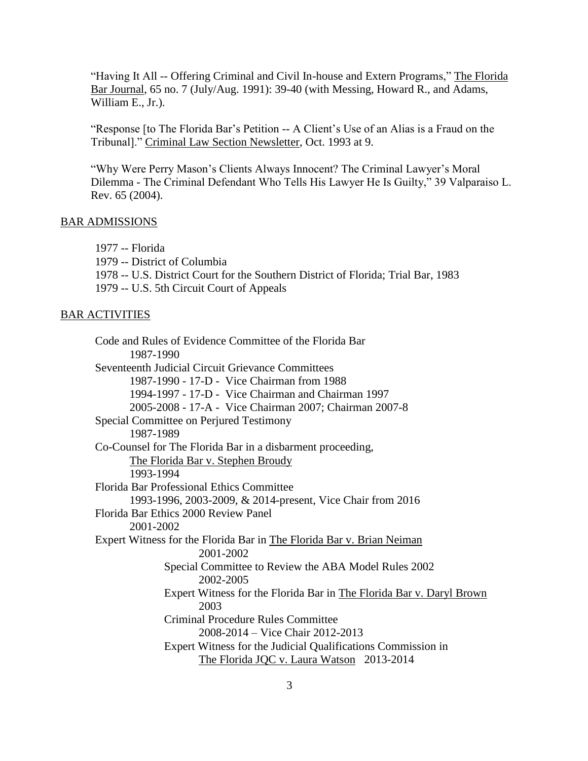"Having It All -- Offering Criminal and Civil In-house and Extern Programs," The Florida Bar Journal, 65 no. 7 (July/Aug. 1991): 39-40 (with Messing, Howard R., and Adams, William E., Jr.).

"Response [to The Florida Bar's Petition -- A Client's Use of an Alias is a Fraud on the Tribunal]." Criminal Law Section Newsletter, Oct. 1993 at 9.

"Why Were Perry Mason's Clients Always Innocent? The Criminal Lawyer's Moral Dilemma - The Criminal Defendant Who Tells His Lawyer He Is Guilty," 39 Valparaiso L. Rev. 65 (2004).

# BAR ADMISSIONS

1977 -- Florida

1979 -- District of Columbia

1978 -- U.S. District Court for the Southern District of Florida; Trial Bar, 1983

1979 -- U.S. 5th Circuit Court of Appeals

### BAR ACTIVITIES

Code and Rules of Evidence Committee of the Florida Bar 1987-1990 Seventeenth Judicial Circuit Grievance Committees 1987-1990 - 17-D - Vice Chairman from 1988 1994-1997 - 17-D - Vice Chairman and Chairman 1997 2005-2008 - 17-A - Vice Chairman 2007; Chairman 2007-8 Special Committee on Perjured Testimony 1987-1989 Co-Counsel for The Florida Bar in a disbarment proceeding, The Florida Bar v. Stephen Broudy 1993-1994 Florida Bar Professional Ethics Committee 1993-1996, 2003-2009, & 2014-present, Vice Chair from 2016 Florida Bar Ethics 2000 Review Panel 2001-2002 Expert Witness for the Florida Bar in The Florida Bar v. Brian Neiman 2001-2002 Special Committee to Review the ABA Model Rules 2002 2002-2005 Expert Witness for the Florida Bar in The Florida Bar v. Daryl Brown 2003 Criminal Procedure Rules Committee 2008-2014 – Vice Chair 2012-2013 Expert Witness for the Judicial Qualifications Commission in The Florida JQC v. Laura Watson 2013-2014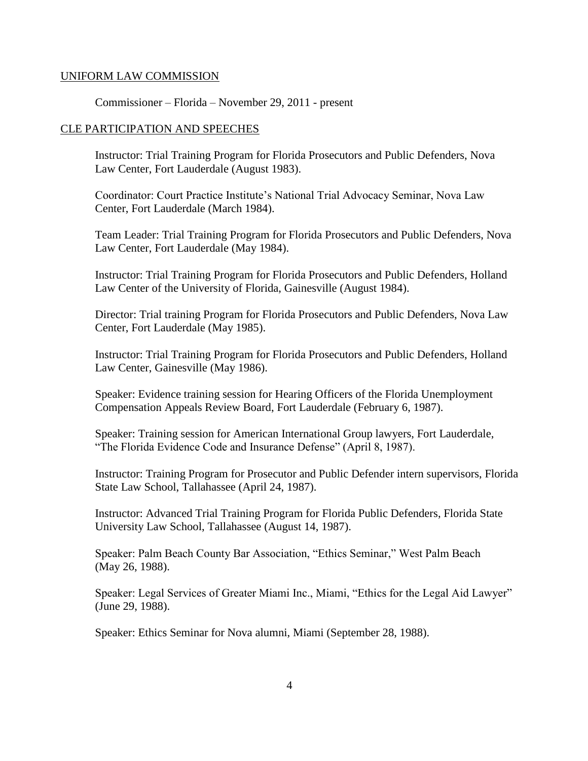## UNIFORM LAW COMMISSION

Commissioner – Florida – November 29, 2011 - present

### CLE PARTICIPATION AND SPEECHES

Instructor: Trial Training Program for Florida Prosecutors and Public Defenders, Nova Law Center, Fort Lauderdale (August 1983).

Coordinator: Court Practice Institute's National Trial Advocacy Seminar, Nova Law Center, Fort Lauderdale (March 1984).

Team Leader: Trial Training Program for Florida Prosecutors and Public Defenders, Nova Law Center, Fort Lauderdale (May 1984).

Instructor: Trial Training Program for Florida Prosecutors and Public Defenders, Holland Law Center of the University of Florida, Gainesville (August 1984).

Director: Trial training Program for Florida Prosecutors and Public Defenders, Nova Law Center, Fort Lauderdale (May 1985).

Instructor: Trial Training Program for Florida Prosecutors and Public Defenders, Holland Law Center, Gainesville (May 1986).

Speaker: Evidence training session for Hearing Officers of the Florida Unemployment Compensation Appeals Review Board, Fort Lauderdale (February 6, 1987).

Speaker: Training session for American International Group lawyers, Fort Lauderdale, "The Florida Evidence Code and Insurance Defense" (April 8, 1987).

Instructor: Training Program for Prosecutor and Public Defender intern supervisors, Florida State Law School, Tallahassee (April 24, 1987).

Instructor: Advanced Trial Training Program for Florida Public Defenders, Florida State University Law School, Tallahassee (August 14, 1987).

Speaker: Palm Beach County Bar Association, "Ethics Seminar," West Palm Beach (May 26, 1988).

Speaker: Legal Services of Greater Miami Inc., Miami, "Ethics for the Legal Aid Lawyer" (June 29, 1988).

Speaker: Ethics Seminar for Nova alumni, Miami (September 28, 1988).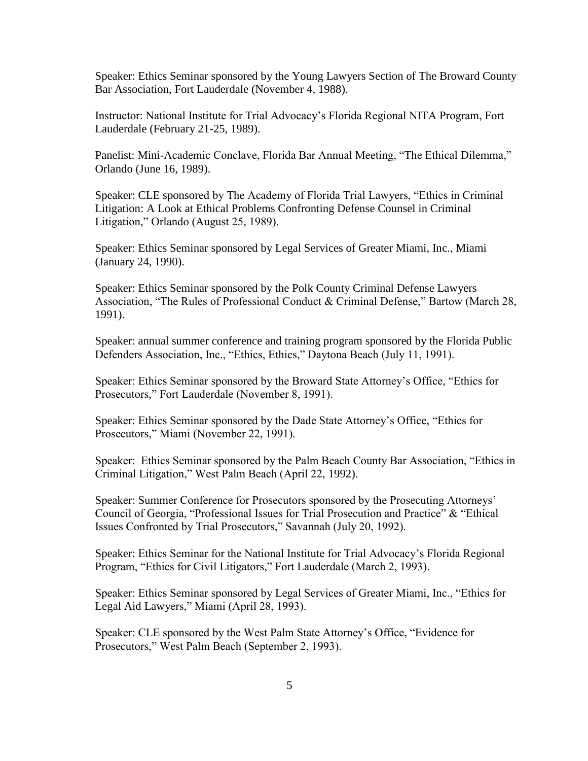Speaker: Ethics Seminar sponsored by the Young Lawyers Section of The Broward County Bar Association, Fort Lauderdale (November 4, 1988).

Instructor: National Institute for Trial Advocacy's Florida Regional NITA Program, Fort Lauderdale (February 21-25, 1989).

Panelist: Mini-Academic Conclave, Florida Bar Annual Meeting, "The Ethical Dilemma," Orlando (June 16, 1989).

Speaker: CLE sponsored by The Academy of Florida Trial Lawyers, "Ethics in Criminal Litigation: A Look at Ethical Problems Confronting Defense Counsel in Criminal Litigation," Orlando (August 25, 1989).

Speaker: Ethics Seminar sponsored by Legal Services of Greater Miami, Inc., Miami (January 24, 1990).

Speaker: Ethics Seminar sponsored by the Polk County Criminal Defense Lawyers Association, "The Rules of Professional Conduct & Criminal Defense," Bartow (March 28, 1991).

Speaker: annual summer conference and training program sponsored by the Florida Public Defenders Association, Inc., "Ethics, Ethics," Daytona Beach (July 11, 1991).

Speaker: Ethics Seminar sponsored by the Broward State Attorney's Office, "Ethics for Prosecutors," Fort Lauderdale (November 8, 1991).

Speaker: Ethics Seminar sponsored by the Dade State Attorney's Office, "Ethics for Prosecutors," Miami (November 22, 1991).

Speaker: Ethics Seminar sponsored by the Palm Beach County Bar Association, "Ethics in Criminal Litigation," West Palm Beach (April 22, 1992).

Speaker: Summer Conference for Prosecutors sponsored by the Prosecuting Attorneys' Council of Georgia, "Professional Issues for Trial Prosecution and Practice" & "Ethical Issues Confronted by Trial Prosecutors," Savannah (July 20, 1992).

Speaker: Ethics Seminar for the National Institute for Trial Advocacy's Florida Regional Program, "Ethics for Civil Litigators," Fort Lauderdale (March 2, 1993).

Speaker: Ethics Seminar sponsored by Legal Services of Greater Miami, Inc., "Ethics for Legal Aid Lawyers," Miami (April 28, 1993).

Speaker: CLE sponsored by the West Palm State Attorney's Office, "Evidence for Prosecutors," West Palm Beach (September 2, 1993).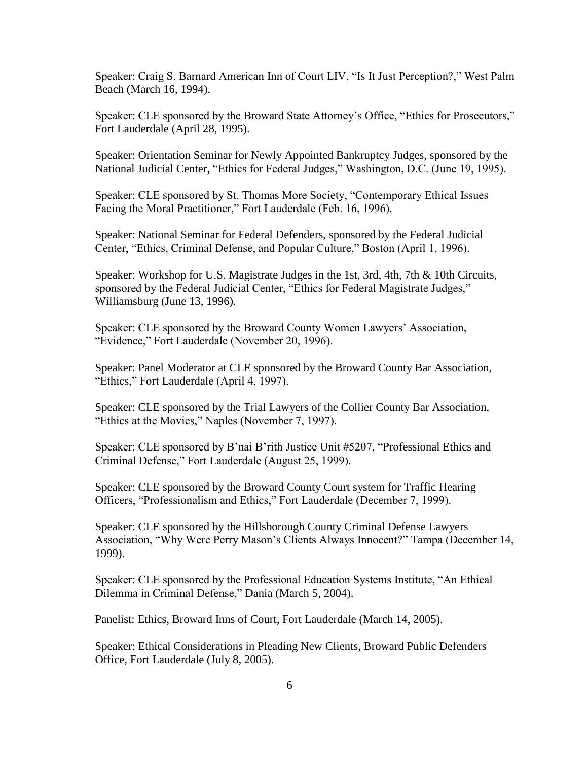Speaker: Craig S. Barnard American Inn of Court LIV, "Is It Just Perception?," West Palm Beach (March 16, 1994).

Speaker: CLE sponsored by the Broward State Attorney's Office, "Ethics for Prosecutors," Fort Lauderdale (April 28, 1995).

Speaker: Orientation Seminar for Newly Appointed Bankruptcy Judges, sponsored by the National Judicial Center, "Ethics for Federal Judges," Washington, D.C. (June 19, 1995).

Speaker: CLE sponsored by St. Thomas More Society, "Contemporary Ethical Issues Facing the Moral Practitioner," Fort Lauderdale (Feb. 16, 1996).

Speaker: National Seminar for Federal Defenders, sponsored by the Federal Judicial Center, "Ethics, Criminal Defense, and Popular Culture," Boston (April 1, 1996).

Speaker: Workshop for U.S. Magistrate Judges in the 1st, 3rd, 4th, 7th & 10th Circuits, sponsored by the Federal Judicial Center, "Ethics for Federal Magistrate Judges," Williamsburg (June 13, 1996).

Speaker: CLE sponsored by the Broward County Women Lawyers' Association, "Evidence," Fort Lauderdale (November 20, 1996).

Speaker: Panel Moderator at CLE sponsored by the Broward County Bar Association, "Ethics," Fort Lauderdale (April 4, 1997).

Speaker: CLE sponsored by the Trial Lawyers of the Collier County Bar Association, "Ethics at the Movies," Naples (November 7, 1997).

Speaker: CLE sponsored by B'nai B'rith Justice Unit #5207, "Professional Ethics and Criminal Defense," Fort Lauderdale (August 25, 1999).

Speaker: CLE sponsored by the Broward County Court system for Traffic Hearing Officers, "Professionalism and Ethics," Fort Lauderdale (December 7, 1999).

Speaker: CLE sponsored by the Hillsborough County Criminal Defense Lawyers Association, "Why Were Perry Mason's Clients Always Innocent?" Tampa (December 14, 1999).

Speaker: CLE sponsored by the Professional Education Systems Institute, "An Ethical Dilemma in Criminal Defense," Dania (March 5, 2004).

Panelist: Ethics, Broward Inns of Court, Fort Lauderdale (March 14, 2005).

Speaker: Ethical Considerations in Pleading New Clients, Broward Public Defenders Office, Fort Lauderdale (July 8, 2005).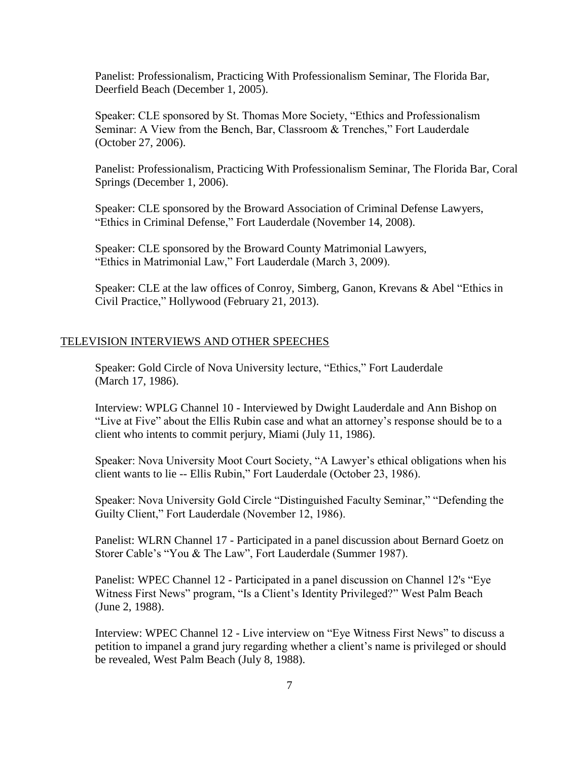Panelist: Professionalism, Practicing With Professionalism Seminar, The Florida Bar, Deerfield Beach (December 1, 2005).

Speaker: CLE sponsored by St. Thomas More Society, "Ethics and Professionalism Seminar: A View from the Bench, Bar, Classroom & Trenches," Fort Lauderdale (October 27, 2006).

Panelist: Professionalism, Practicing With Professionalism Seminar, The Florida Bar, Coral Springs (December 1, 2006).

Speaker: CLE sponsored by the Broward Association of Criminal Defense Lawyers, "Ethics in Criminal Defense," Fort Lauderdale (November 14, 2008).

Speaker: CLE sponsored by the Broward County Matrimonial Lawyers, "Ethics in Matrimonial Law," Fort Lauderdale (March 3, 2009).

Speaker: CLE at the law offices of Conroy, Simberg, Ganon, Krevans & Abel "Ethics in Civil Practice," Hollywood (February 21, 2013).

#### TELEVISION INTERVIEWS AND OTHER SPEECHES

Speaker: Gold Circle of Nova University lecture, "Ethics," Fort Lauderdale (March 17, 1986).

Interview: WPLG Channel 10 - Interviewed by Dwight Lauderdale and Ann Bishop on "Live at Five" about the Ellis Rubin case and what an attorney's response should be to a client who intents to commit perjury, Miami (July 11, 1986).

Speaker: Nova University Moot Court Society, "A Lawyer's ethical obligations when his client wants to lie -- Ellis Rubin," Fort Lauderdale (October 23, 1986).

Speaker: Nova University Gold Circle "Distinguished Faculty Seminar," "Defending the Guilty Client," Fort Lauderdale (November 12, 1986).

Panelist: WLRN Channel 17 - Participated in a panel discussion about Bernard Goetz on Storer Cable's "You & The Law", Fort Lauderdale (Summer 1987).

Panelist: WPEC Channel 12 - Participated in a panel discussion on Channel 12's "Eye Witness First News" program, "Is a Client's Identity Privileged?" West Palm Beach (June 2, 1988).

Interview: WPEC Channel 12 - Live interview on "Eye Witness First News" to discuss a petition to impanel a grand jury regarding whether a client's name is privileged or should be revealed, West Palm Beach (July 8, 1988).